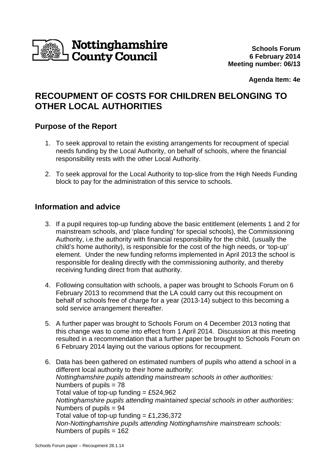

**Agenda Item: 4e** 

# **RECOUPMENT OF COSTS FOR CHILDREN BELONGING TO OTHER LOCAL AUTHORITIES**

### **Purpose of the Report**

- 1. To seek approval to retain the existing arrangements for recoupment of special needs funding by the Local Authority, on behalf of schools, where the financial responsibility rests with the other Local Authority.
- 2. To seek approval for the Local Authority to top-slice from the High Needs Funding block to pay for the administration of this service to schools.

## **Information and advice**

- 3. If a pupil requires top-up funding above the basic entitlement (elements 1 and 2 for mainstream schools, and 'place funding' for special schools), the Commissioning Authority, i.e.the authority with financial responsibility for the child, (usually the child's home authority), is responsible for the cost of the high needs, or 'top-up' element. Under the new funding reforms implemented in April 2013 the school is responsible for dealing directly with the commissioning authority, and thereby receiving funding direct from that authority.
- 4. Following consultation with schools, a paper was brought to Schools Forum on 6 February 2013 to recommend that the LA could carry out this recoupment on behalf of schools free of charge for a year (2013-14) subject to this becoming a sold service arrangement thereafter.
- 5. A further paper was brought to Schools Forum on 4 December 2013 noting that this change was to come into effect from 1 April 2014. Discussion at this meeting resulted in a recommendation that a further paper be brought to Schools Forum on 6 February 2014 laying out the various options for recoupment.
- 6. Data has been gathered on estimated numbers of pupils who attend a school in a different local authority to their home authority: Nottinghamshire pupils attending mainstream schools in other authorities: Numbers of pupils = 78 Total value of top-up funding =  $£524,962$ Nottinghamshire pupils attending maintained special schools in other authorities: Numbers of pupils = 94 Total value of top-up funding = £1,236,372 Non-Nottinghamshire pupils attending Nottinghamshire mainstream schools: Numbers of pupils = 162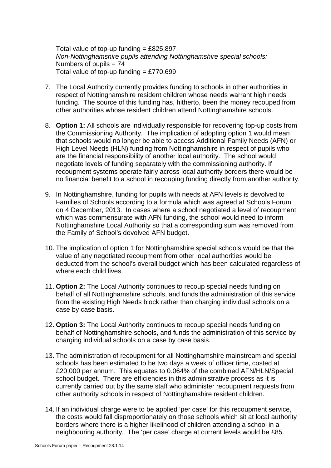Total value of top-up funding  $= \text{\pounds}825,897$ Non-Nottinghamshire pupils attending Nottinghamshire special schools: Numbers of pupils  $= 74$ Total value of top-up funding  $=$  £770,699

- 7. The Local Authority currently provides funding to schools in other authorities in respect of Nottinghamshire resident children whose needs warrant high needs funding. The source of this funding has, hitherto, been the money recouped from other authorities whose resident children attend Nottinghamshire schools.
- 8. **Option 1:** All schools are individually responsible for recovering top-up costs from the Commissioning Authority. The implication of adopting option 1 would mean that schools would no longer be able to access Additional Family Needs (AFN) or High Level Needs (HLN) funding from Nottinghamshire in respect of pupils who are the financial responsibility of another local authority. The school would negotiate levels of funding separately with the commissioning authority. If recoupment systems operate fairly across local authority borders there would be no financial benefit to a school in recouping funding directly from another authority.
- 9. In Nottinghamshire, funding for pupils with needs at AFN levels is devolved to Families of Schools according to a formula which was agreed at Schools Forum on 4 December, 2013. In cases where a school negotiated a level of recoupment which was commensurate with AFN funding, the school would need to inform Nottinghamshire Local Authority so that a corresponding sum was removed from the Family of School's devolved AFN budget.
- 10. The implication of option 1 for Nottinghamshire special schools would be that the value of any negotiated recoupment from other local authorities would be deducted from the school's overall budget which has been calculated regardless of where each child lives.
- 11. **Option 2:** The Local Authority continues to recoup special needs funding on behalf of all Nottinghamshire schools, and funds the administration of this service from the existing High Needs block rather than charging individual schools on a case by case basis.
- 12. **Option 3:** The Local Authority continues to recoup special needs funding on behalf of Nottinghamshire schools, and funds the administration of this service by charging individual schools on a case by case basis.
- 13. The administration of recoupment for all Nottinghamshire mainstream and special schools has been estimated to be two days a week of officer time, costed at £20,000 per annum. This equates to 0.064% of the combined AFN/HLN/Special school budget. There are efficiencies in this administrative process as it is currently carried out by the same staff who administer recoupment requests from other authority schools in respect of Nottinghamshire resident children.
- 14. If an individual charge were to be applied 'per case' for this recoupment service, the costs would fall disproportionately on those schools which sit at local authority borders where there is a higher likelihood of children attending a school in a neighbouring authority. The 'per case' charge at current levels would be £85.